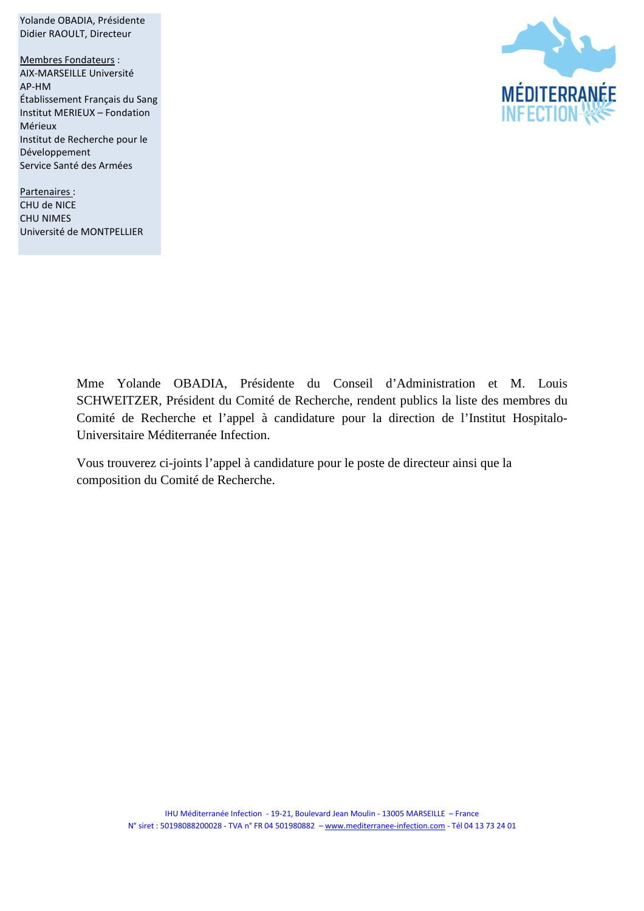Didier RAOULT, Directeur Membres Fondateurs : AIX-MARSEILLE Université AP-HM Établissement Français du Sang Institut MERIEUX – Fondation Mérieux Institut de Recherche pour le Développement Service Santé des Armées

Yolande OBADIA, Présidente

Partenaires : CHU de NICE CHU NIMES Université de MONTPELLIER



Mme Yolande OBADIA, Présidente du Conseil d'Administration et M. Louis SCHWEITZER, Président du Comité de Recherche, rendent publics la liste des membres du Comité de Recherche et l'appel à candidature pour la direction de l'Institut Hospitalo-Universitaire Méditerranée Infection.

Vous trouverez ci-joints l'appel à candidature pour le poste de directeur ainsi que la composition du Comité de Recherche.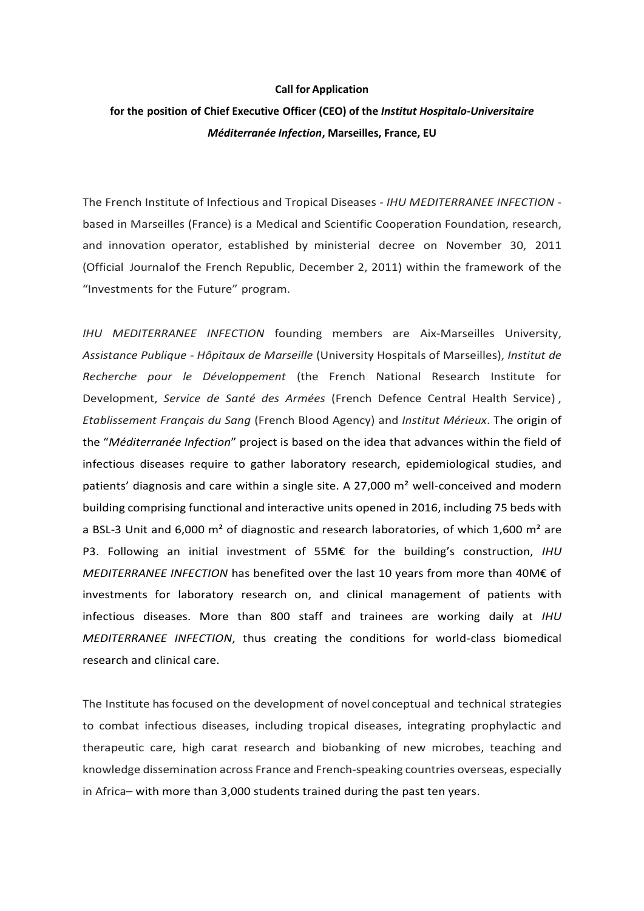## **Call for Application**

## **for the position of Chief Executive Officer (CEO) of the** *Institut Hospitalo-Universitaire Méditerranée Infection***, Marseilles, France, EU**

The French Institute of Infectious and Tropical Diseases - *IHU MEDITERRANEE INFECTION* based in Marseilles (France) is a Medical and Scientific Cooperation Foundation, research, and innovation operator, established by ministerial decree on November 30, 2011 (Official Journalof the French Republic, December 2, 2011) within the framework of the "Investments for the Future" program.

*IHU MEDITERRANEE INFECTION* founding members are Aix-Marseilles University, *Assistance Publique - Hôpitaux de Marseille* (University Hospitals of Marseilles), *Institut de Recherche pour le Développement* (the French National Research Institute for Development, *Service de Santé des Armées* (French Defence Central Health Service) , *Etablissement Français du Sang* (French Blood Agency) and *Institut Mérieux*. The origin of the "*Méditerranée Infection*" project is based on the idea that advances within the field of infectious diseases require to gather laboratory research, epidemiological studies, and patients' diagnosis and care within a single site. A 27,000  $m<sup>2</sup>$  well-conceived and modern building comprising functional and interactive units opened in 2016, including 75 beds with a BSL-3 Unit and 6,000  $m<sup>2</sup>$  of diagnostic and research laboratories, of which 1,600  $m<sup>2</sup>$  are P3. Following an initial investment of 55M€ for the building's construction, *IHU MEDITERRANEE INFECTION* has benefited over the last 10 years from more than 40M€ of investments for laboratory research on, and clinical management of patients with infectious diseases. More than 800 staff and trainees are working daily at *IHU MEDITERRANEE INFECTION*, thus creating the conditions for world-class biomedical research and clinical care.

The Institute has focused on the development of novel conceptual and technical strategies to combat infectious diseases, including tropical diseases, integrating prophylactic and therapeutic care, high carat research and biobanking of new microbes, teaching and knowledge dissemination across France and French-speaking countries overseas, especially in Africa– with more than 3,000 students trained during the past ten years.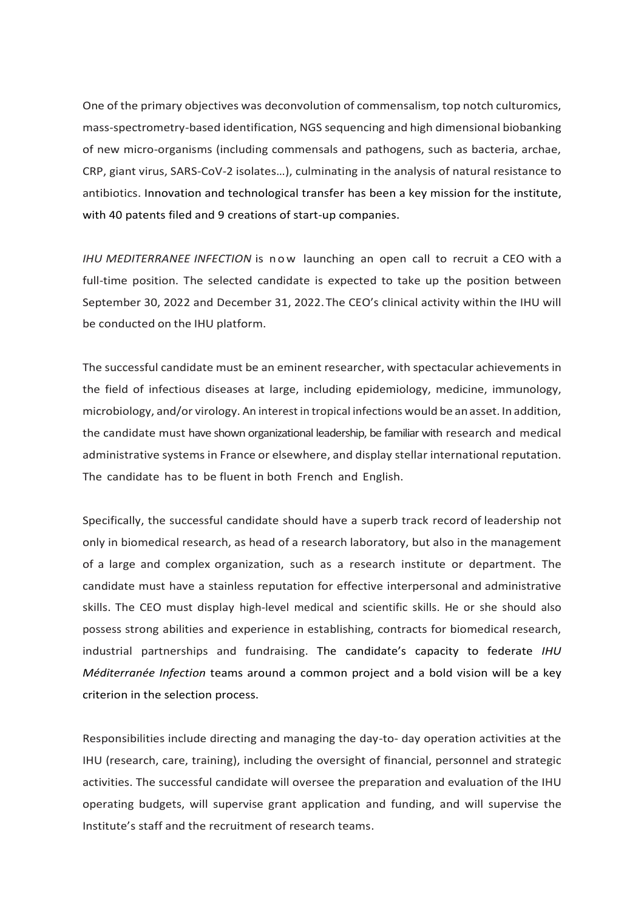One of the primary objectives was deconvolution of commensalism, top notch culturomics, mass-spectrometry-based identification, NGS sequencing and high dimensional biobanking of new micro-organisms (including commensals and pathogens, such as bacteria, archae, CRP, giant virus, SARS-CoV-2 isolates…), culminating in the analysis of natural resistance to antibiotics. Innovation and technological transfer has been a key mission for the institute, with 40 patents filed and 9 creations of start-up companies.

*IHU MEDITERRANEE INFECTION* is now launching an open call to recruit a CEO with a full-time position. The selected candidate is expected to take up the position between September 30, 2022 and December 31, 2022. The CEO's clinical activity within the IHU will be conducted on the IHU platform.

The successful candidate must be an eminent researcher, with spectacular achievements in the field of infectious diseases at large, including epidemiology, medicine, immunology, microbiology, and/or virology. An interest in tropical infections would be anasset. In addition, the candidate must have shown organizational leadership, be familiar with research and medical administrative systems in France or elsewhere, and display stellar international reputation. The candidate has to be fluent in both French and English.

Specifically, the successful candidate should have a superb track record of leadership not only in biomedical research, as head of a research laboratory, but also in the management of a large and complex organization, such as a research institute or department. The candidate must have a stainless reputation for effective interpersonal and administrative skills. The CEO must display high-level medical and scientific skills. He or she should also possess strong abilities and experience in establishing, contracts for biomedical research, industrial partnerships and fundraising. The candidate's capacity to federate *IHU Méditerranée Infection* teams around a common project and a bold vision will be a key criterion in the selection process.

Responsibilities include directing and managing the day-to- day operation activities at the IHU (research, care, training), including the oversight of financial, personnel and strategic activities. The successful candidate will oversee the preparation and evaluation of the IHU operating budgets, will supervise grant application and funding, and will supervise the Institute's staff and the recruitment of research teams.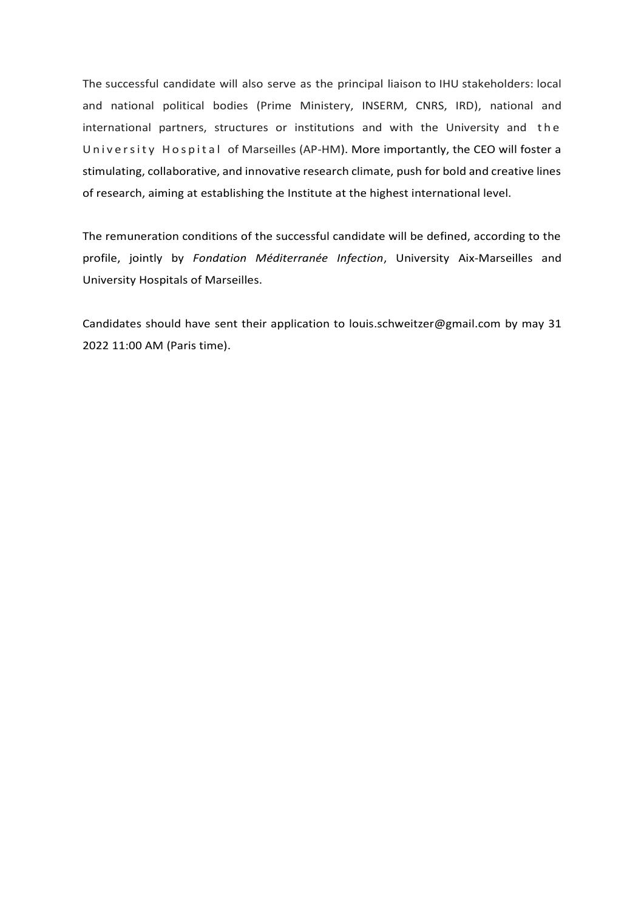The successful candidate will also serve as the principal liaison to IHU stakeholders: local and national political bodies (Prime Ministery, INSERM, CNRS, IRD), national and international partners, structures or institutions and with the University and the University Hospital of Marseilles (AP-HM). More importantly, the CEO will foster a stimulating, collaborative, and innovative research climate, push for bold and creative lines of research, aiming at establishing the Institute at the highest international level.

The remuneration conditions of the successful candidate will be defined, according to the profile, jointly by *Fondation Méditerranée Infection*, University Aix-Marseilles and University Hospitals of Marseilles.

Candidates should have sent their application to [louis.schweitzer@gmail.com](mailto:louis.schweitzer@gmail.com) by may 31 2022 11:00 AM (Paris time).